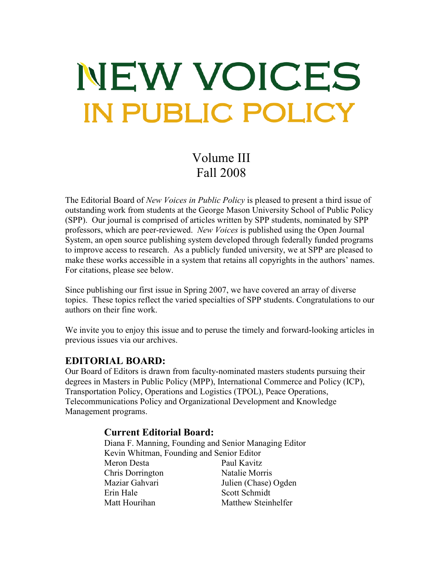# NEW VOICES **IN PUBLIC POLICY**

Volume III Fall 2008

The Editorial Board of *New Voices in Public Policy* is pleased to present a third issue of outstanding work from students at the George Mason University School of Public Policy (SPP). Our journal is comprised of articles written by SPP students, nominated by SPP professors, which are peer-reviewed. *New Voices* is published using the Open Journal System, an open source publishing system developed through federally funded programs to improve access to research. As a publicly funded university, we at SPP are pleased to make these works accessible in a system that retains all copyrights in the authors' names. For citations, please see below.

Since publishing our first issue in Spring 2007, we have covered an array of diverse topics. These topics reflect the varied specialties of SPP students. Congratulations to our authors on their fine work.

We invite you to enjoy this issue and to peruse the timely and forward-looking articles in previous issues via our archives.

### **EDITORIAL BOARD:**

Our Board of Editors is drawn from faculty-nominated masters students pursuing their degrees in Masters in Public Policy (MPP), International Commerce and Policy (ICP), Transportation Policy, Operations and Logistics (TPOL), Peace Operations, Telecommunications Policy and Organizational Development and Knowledge Management programs.

#### **Current Editorial Board:**

Diana F. Manning, Founding and Senior Managing Editor Kevin Whitman, Founding and Senior Editor Meron Desta Paul Kavitz Chris Dorrington Natalie Morris Maziar Gahvari Julien (Chase) Ogden Erin Hale Scott Schmidt Matt Hourihan Matthew Steinhelfer